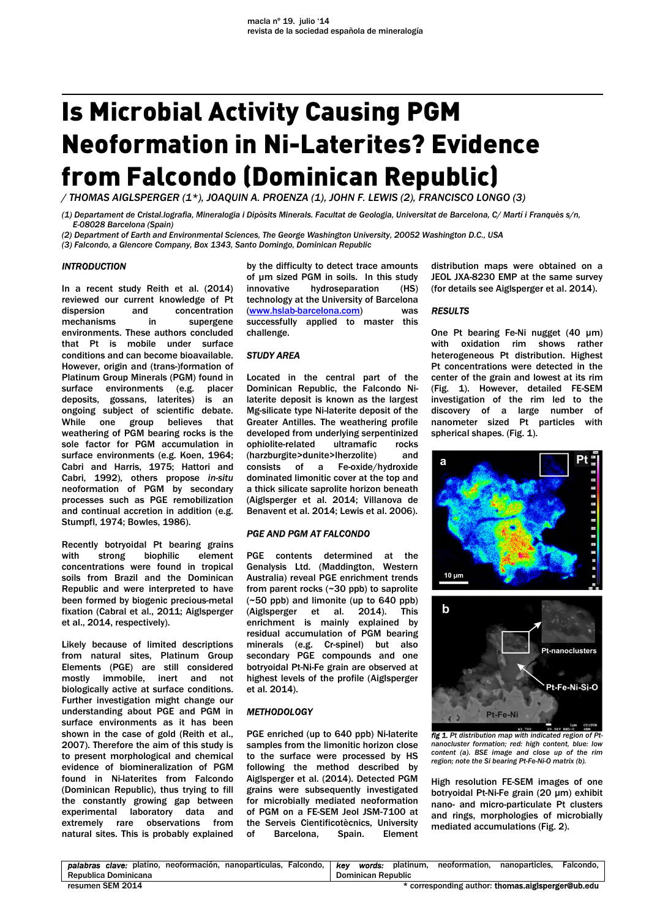# Is Microbial Activity Causing PGM Neoformation in Ni-Laterites? Evidence from Falcondo (Dominican Republic)

*/ THOMAS AIGLSPERGER (1\*), JOAQUIN A. PROENZA (1), JOHN F. LEWIS (2), FRANCISCO LONGO (3)* 

*(1) Departament de Cristal.lografia, Mineralogia i Dipòsits Minerals. Facultat de Geologia, Universitat de Barcelona, C/ Martí i Franquès s/n, E-08028 Barcelona (Spain)* 

*(2) Department of Earth and Environmental Sciences, The George Washington University, 20052 Washington D.C., USA* 

*(3) Falcondo, a Glencore Company, Box 1343, Santo Domingo, Dominican Republic* 

# *INTRODUCTION*

In a recent study Reith et al. (2014) reviewed our current knowledge of Pt dispersion and concentration mechanisms in supergene environments. These authors concluded that Pt is mobile under surface conditions and can become bioavailable. However, origin and (trans-)formation of Platinum Group Minerals (PGM) found in surface environments (e.g. placer deposits, gossans, laterites) is an ongoing subject of scientific debate. While one group believes that weathering of PGM bearing rocks is the sole factor for PGM accumulation in surface environments (e.g. Koen, 1964; Cabri and Harris, 1975; Hattori and Cabri, 1992), others propose *in-situ* neoformation of PGM by secondary processes such as PGE remobilization and continual accretion in addition (e.g. Stumpfl, 1974; Bowles, 1986).

Recently botryoidal Pt bearing grains with strong biophilic element concentrations were found in tropical soils from Brazil and the Dominican Republic and were interpreted to have been formed by biogenic precious-metal fixation (Cabral et al., 2011; Aiglsperger et al., 2014, respectively).

Likely because of limited descriptions from natural sites, Platinum Group Elements (PGE) are still considered mostly immobile, inert and not biologically active at surface conditions. Further investigation might change our understanding about PGE and PGM in surface environments as it has been shown in the case of gold (Reith et al., 2007). Therefore the aim of this study is to present morphological and chemical evidence of biomineralization of PGM found in Ni-laterites from Falcondo (Dominican Republic), thus trying to fill the constantly growing gap between experimental laboratory data and extremely rare observations from natural sites. This is probably explained

by the difficulty to detect trace amounts of µm sized PGM in soils. In this study innovative hydroseparation (HS) technology at the University of Barcelona (www.hslab-barcelona.com) was successfully applied to master this challenge.

# *STUDY AREA*

Located in the central part of the Dominican Republic, the Falcondo Nilaterite deposit is known as the largest Mg-silicate type Ni-laterite deposit of the Greater Antilles. The weathering profile developed from underlying serpentinized ophiolite-related ultramafic rocks (harzburgite>dunite>lherzolite) and consists of a Fe-oxide/hydroxide dominated limonitic cover at the top and a thick silicate saprolite horizon beneath (Aiglsperger et al. 2014; Villanova de Benavent et al. 2014; Lewis et al. 2006).

# *PGE AND PGM AT FALCONDO*

PGE contents determined at the Genalysis Ltd. (Maddington, Western Australia) reveal PGE enrichment trends from parent rocks (~30 ppb) to saprolite (~50 ppb) and limonite (up to 640 ppb) (Aiglsperger et al. 2014). This enrichment is mainly explained by residual accumulation of PGM bearing minerals (e.g. Cr-spinel) but also secondary PGE compounds and one botryoidal Pt-Ni-Fe grain are observed at highest levels of the profile (Aiglsperger et al. 2014).

### *METHODOLOGY*

PGE enriched (up to 640 ppb) Ni-laterite samples from the limonitic horizon close to the surface were processed by HS following the method described by Aiglsperger et al. (2014). Detected PGM grains were subsequently investigated for microbially mediated neoformation of PGM on a FE-SEM Jeol JSM-7100 at the Serveis Cientificotècnics, University<br>of Barcelona. Spain. Element of Barcelona,

distribution maps were obtained on a JEOL JXA-8230 EMP at the same survey (for details see Aiglsperger et al. 2014).

# *RESULTS*

One Pt bearing Fe-Ni nugget (40 µm) with oxidation rim shows rather heterogeneous Pt distribution. Highest Pt concentrations were detected in the center of the grain and lowest at its rim (Fig. 1). However, detailed FE-SEM investigation of the rim led to the discovery of a large number of nanometer sized Pt particles with spherical shapes. (Fig. 1).





*fig 1. Pt distribution map with indicated region of Ptnanocluster formation; red: high content, blue: low content (a). BSE image and close up of the rim region; note the Si bearing Pt-Fe-Ni-O matrix (b).* 

High resolution FE-SEM images of one botryoidal Pt-Ni-Fe grain (20 µm) exhibit nano- and micro-particulate Pt clusters and rings, morphologies of microbially mediated accumulations (Fig. 2).

| <b>palabras clave</b> : platino, neoformación, nanoparticulas, Falcondo, | kev | words:                    | platinum. | neoformation. | nanoparticles.                                    | Falcondo. |
|--------------------------------------------------------------------------|-----|---------------------------|-----------|---------------|---------------------------------------------------|-----------|
| Republica Dominicana                                                     |     | <b>Dominican Republic</b> |           |               |                                                   |           |
| resumen SEM 2014                                                         |     |                           |           |               | * corresponding author: thomas.aigisperger@ub.edu |           |